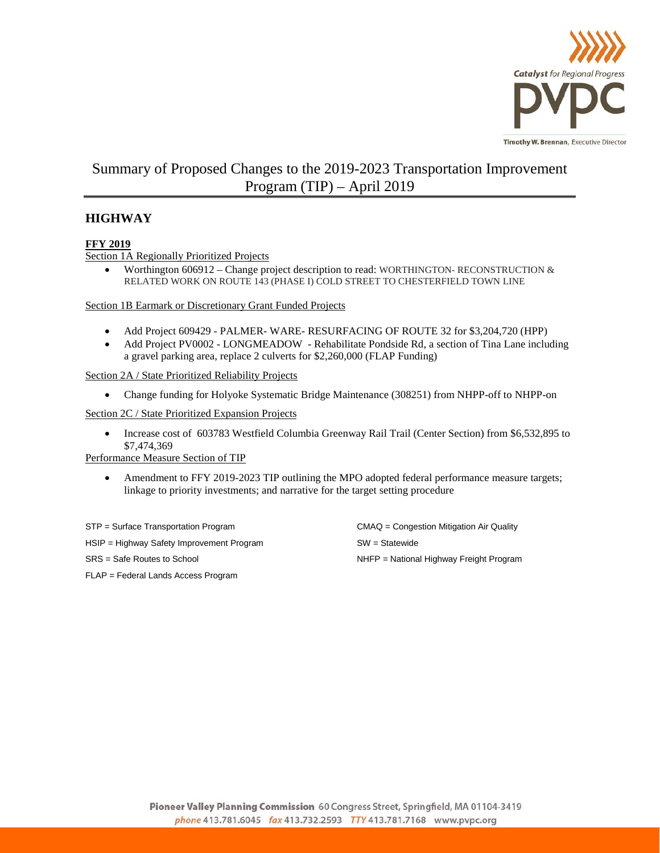

## Summary of Proposed Changes to the 2019-2023 Transportation Improvement Program (TIP) – April 2019

### **HIGHWAY**

#### **FFY 2019**

Section 1A Regionally Prioritized Projects

Worthington 606912 – Change project description to read: WORTHINGTON- RECONSTRUCTION  $\&$ RELATED WORK ON ROUTE 143 (PHASE I) COLD STREET TO CHESTERFIELD TOWN LINE

Section 1B Earmark or Discretionary Grant Funded Projects

- Add Project 609429 PALMER- WARE- RESURFACING OF ROUTE 32 for \$3,204,720 (HPP)
- Add Project PV0002 LONGMEADOW Rehabilitate Pondside Rd, a section of Tina Lane including a gravel parking area, replace 2 culverts for \$2,260,000 (FLAP Funding)

Section 2A / State Prioritized Reliability Projects

• Change funding for Holyoke Systematic Bridge Maintenance (308251) from NHPP-off to NHPP-on

Section 2C / State Prioritized Expansion Projects

• Increase cost of 603783 Westfield Columbia Greenway Rail Trail (Center Section) from \$6,532,895 to \$7,474,369

Performance Measure Section of TIP

• Amendment to FFY 2019-2023 TIP outlining the MPO adopted federal performance measure targets; linkage to priority investments; and narrative for the target setting procedure

STP = Surface Transportation Program CMAQ = Congestion Mitigation Air Quality HSIP = Highway Safety Improvement Program SW = Statewide SRS = Safe Routes to School NHFP = National Highway Freight Program FLAP = Federal Lands Access Program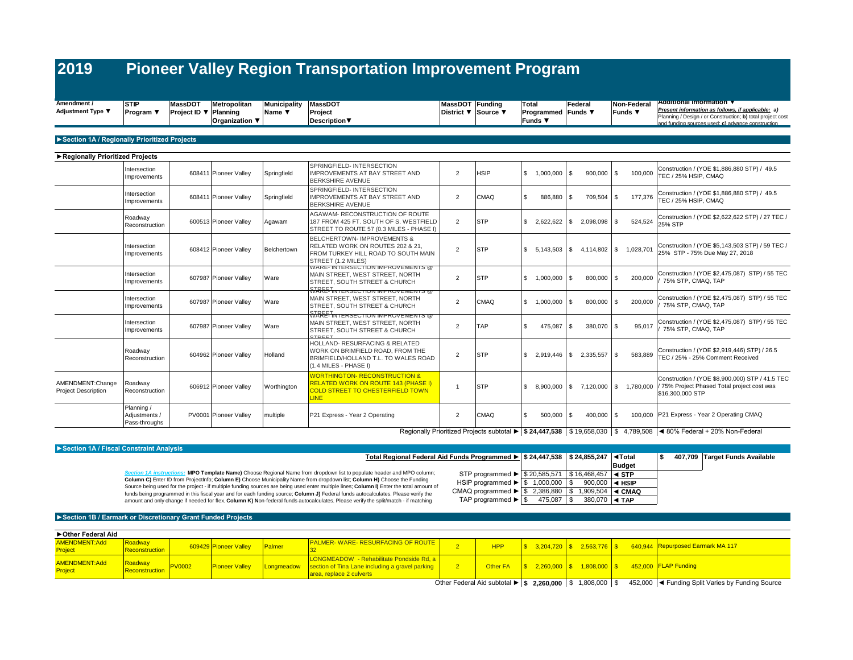| <b>STIP</b><br>Program $\Psi$                | <b>MassDOT</b>                  | Metropolitan                                 | <b>Municipality</b><br>Name ▼                                                                                                                                                                                                                                                                            | <b>MassDOT</b><br>Project                                                                                                                 |                                                                                                                                                      |             | Total                                  |                                                                                 | Non-Federal<br>Funds ▼                                                                                                | <b>Additional Information V</b><br>Present information as follows, if applicable: a)<br>Planning / Design / or Construction; b) total project cost                          |
|----------------------------------------------|---------------------------------|----------------------------------------------|----------------------------------------------------------------------------------------------------------------------------------------------------------------------------------------------------------------------------------------------------------------------------------------------------------|-------------------------------------------------------------------------------------------------------------------------------------------|------------------------------------------------------------------------------------------------------------------------------------------------------|-------------|----------------------------------------|---------------------------------------------------------------------------------|-----------------------------------------------------------------------------------------------------------------------|-----------------------------------------------------------------------------------------------------------------------------------------------------------------------------|
|                                              |                                 |                                              |                                                                                                                                                                                                                                                                                                          |                                                                                                                                           |                                                                                                                                                      |             |                                        |                                                                                 |                                                                                                                       | and funding sources used: c) advance construction                                                                                                                           |
|                                              |                                 |                                              |                                                                                                                                                                                                                                                                                                          |                                                                                                                                           |                                                                                                                                                      |             |                                        |                                                                                 |                                                                                                                       |                                                                                                                                                                             |
|                                              |                                 |                                              |                                                                                                                                                                                                                                                                                                          |                                                                                                                                           |                                                                                                                                                      |             |                                        |                                                                                 |                                                                                                                       |                                                                                                                                                                             |
|                                              |                                 |                                              |                                                                                                                                                                                                                                                                                                          |                                                                                                                                           |                                                                                                                                                      |             |                                        |                                                                                 |                                                                                                                       |                                                                                                                                                                             |
| Intersection<br>Improvements                 |                                 |                                              | Springfield                                                                                                                                                                                                                                                                                              | SPRINGFIELD- INTERSECTION<br><b>IMPROVEMENTS AT BAY STREET AND</b><br><b>BERKSHIRE AVENUE</b>                                             | $\overline{2}$                                                                                                                                       | <b>HSIP</b> | $\mathbf{s}$<br>1,000,000              | 900,000                                                                         | 100,000                                                                                                               | Construction / (YOE \$1,886,880 STP) / 49.5<br>TEC / 25% HSIP, CMAQ                                                                                                         |
| Intersection<br>Improvements                 |                                 |                                              | Springfield                                                                                                                                                                                                                                                                                              | SPRINGFIELD-INTERSECTION<br><b>IMPROVEMENTS AT BAY STREET AND</b><br><b>BERKSHIRE AVENUE</b>                                              | $\overline{2}$                                                                                                                                       | CMAQ        | $\mathbf{\hat{z}}$<br>886,880          | 709,504                                                                         | <b>S</b><br>177,376                                                                                                   | Construction / (YOE \$1,886,880 STP) / 49.5<br>TEC / 25% HSIP, CMAQ                                                                                                         |
| Roadway<br>Reconstruction                    |                                 |                                              | Agawam                                                                                                                                                                                                                                                                                                   | AGAWAM- RECONSTRUCTION OF ROUTE<br>187 FROM 425 FT. SOUTH OF S. WESTFIELD<br>STREET TO ROUTE 57 (0.3 MILES - PHASE I)                     | $\overline{2}$                                                                                                                                       | <b>STP</b>  | \$.<br>2.622.622                       | 2.098.098                                                                       | 524.524                                                                                                               | Construction / (YOE \$2,622,622 STP) / 27 TEC /<br>25% STP                                                                                                                  |
| Intersection<br>Improvements                 |                                 |                                              | Belchertown                                                                                                                                                                                                                                                                                              | <b>BELCHERTOWN-IMPROVEMENTS &amp;</b><br>RELATED WORK ON ROUTES 202 & 21.<br>FROM TURKEY HILL ROAD TO SOUTH MAIN<br>STREET (1.2 MILES)    | $\overline{2}$                                                                                                                                       | <b>STP</b>  | \$.                                    |                                                                                 |                                                                                                                       | Construciton / (YOE \$5,143,503 STP) / 59 TEC /<br>25% STP - 75% Due May 27, 2018                                                                                           |
| Intersection<br>Improvements                 |                                 |                                              | Ware                                                                                                                                                                                                                                                                                                     | MAIN STREET, WEST STREET, NORTH<br>STREET, SOUTH STREET & CHURCH                                                                          | $\overline{2}$                                                                                                                                       | <b>STP</b>  | \$                                     | 800.000                                                                         | 200.000                                                                                                               | Construction / (YOE \$2,475,087) STP) / 55 TEC<br>75% STP, CMAQ, TAP                                                                                                        |
| Intersection<br>Improvements                 |                                 |                                              | Ware                                                                                                                                                                                                                                                                                                     | MAIN STREET, WEST STREET, NORTH<br>STREET, SOUTH STREET & CHURCH                                                                          | $\overline{2}$                                                                                                                                       | CMAQ        | \$<br>1,000,000                        | 800,000                                                                         | 200,000<br><b>S</b>                                                                                                   | Construction / (YOE \$2,475,087) STP) / 55 TEC<br>75% STP, CMAQ, TAP                                                                                                        |
| Intersection<br>Improvements                 |                                 |                                              | Ware                                                                                                                                                                                                                                                                                                     | MAIN STREET. WEST STREET. NORTH<br>STREET. SOUTH STREET & CHURCH                                                                          | $\overline{2}$                                                                                                                                       | TAP         | \$.<br>475,087                         | 380,070                                                                         | 95.017                                                                                                                | Construction / (YOE \$2,475,087) STP) / 55 TEC<br>75% STP, CMAQ, TAP                                                                                                        |
| Roadway<br>Reconstruction                    |                                 |                                              | Holland                                                                                                                                                                                                                                                                                                  | HOLLAND- RESURFACING & RELATED<br>WORK ON BRIMFIELD ROAD, FROM THE<br>BRIMFIELD/HOLLAND T.L. TO WALES ROAD<br>(1.4 MILES - PHASE I)       | $\overline{2}$                                                                                                                                       | <b>STP</b>  | S.                                     | 2.335.557                                                                       | 583.889<br>\$                                                                                                         | Construction / (YOE \$2,919,446) STP) / 26.5<br>TEC / 25% - 25% Comment Received                                                                                            |
| Roadwav<br>Reconstruction                    |                                 |                                              | Worthington                                                                                                                                                                                                                                                                                              | <b>WORTHINGTON- RECONSTRUCTION &amp;</b><br><b>RELATED WORK ON ROUTE 143 (PHASE I)</b><br><b>COLD STREET TO CHESTERFIELD TOWN</b><br>LINE | -1                                                                                                                                                   | <b>STP</b>  | \$                                     |                                                                                 |                                                                                                                       | Construction / (YOE \$8,900,000) STP / 41.5 TEC<br>\$16,300,000 STP                                                                                                         |
| Planning /<br>Adjustments /<br>Pass-throughs |                                 |                                              | multiple                                                                                                                                                                                                                                                                                                 | P21 Express - Year 2 Operating                                                                                                            | $\overline{2}$                                                                                                                                       | CMAQ        | \$<br>500.000                          |                                                                                 |                                                                                                                       | 100.000 P21 Express - Year 2 Operating CMAQ<br>$\bullet$ 24 447 529 $\circ$ 10 659 020 $\circ$ 4.790 509 4.900 50derel + 200 Nep Federal                                    |
|                                              | Regionally Prioritized Projects | Section 1A / Regionally Prioritized Projects | Project ID ▼ Planning<br><b>Organization</b> ▼<br>608411 Pioneer Valley<br>608411 Pioneer Valley<br>600513 Pioneer Valley<br>608412 Pioneer Valley<br>607987 Pioneer Valley<br>607987 Pioneer Valley<br>607987 Pioneer Valley<br>604962 Pioneer Valley<br>606912 Pioneer Valley<br>PV0001 Pioneer Valley |                                                                                                                                           | <b>Description</b> ▼<br>WARE- INTERSECTION IMPROVEMENTS @<br>WARE- INTERMENTION IMPROVEMENTS &<br>WARE-TINTERSECTION IMPROVEMENTS @<br><b>STREET</b> |             | MassDOT Funding<br>District ▼ Source ▼ | Funds $\blacktriangledown$<br><b>Dogionally Drioritized Draigete aubtotal A</b> | Federal<br><b>Programmed</b> Funds ▼<br>l S<br>l S<br>l S<br>$5.143.503$ \\$<br>$1.000.000$ \ \$<br>l S<br>l S<br>l S | l \$<br>l \$<br>4.114.802 \ \$ 1.028.701<br>$\mathsf{I}$ \$<br>l \$<br>8,900,000   \$ 7,120,000   \$ 1,780,000   75% Project Phased Total project cost was<br>$400.000$ \\$ |

Regionally Prioritized Projects subtotal **► | \$ 24,447,538** | \$ 19,658,030 | \$ 4,789,508 | <del>◀</del> 80% Federal + 20% Non-Federal

| Section 1A instructions: MPO Template Name) Choose Regional Name from dropdown list to populate header and MPO column:                   |
|------------------------------------------------------------------------------------------------------------------------------------------|
| Column C) Enter ID from ProiectInfo: Column E) Choose Municipality Name from dropdown list: Column H) Choose the Funding                 |
| Source being used for the project - if multiple funding sources are being used enter multiple lines; Column I) Enter the total amount of |
| funds being programmed in this fiscal vear and for each funding source: Column J) Federal funds autocalculates. Please verify the        |
| amount and only change if needed for flex. Column K) Non-federal funds autocalculates. Please verify the split/match - if matching       |

| Total Regional Federal Aid Funds Programmed ▶   \$ 24,447,538   \$ 24,855,247   ◀ Total |                                                           |         |                                        | 407,709 Target Funds Available |  |
|-----------------------------------------------------------------------------------------|-----------------------------------------------------------|---------|----------------------------------------|--------------------------------|--|
|                                                                                         |                                                           |         |                                        | <b>Budget</b>                  |  |
| ulate header and MPO column:                                                            | STP programmed $\blacktriangleright$ \$ 20,585,571        |         | $$16.468.457$ $\blacktriangleleft$ STP |                                |  |
| umn H) Choose the Funding<br>lumn I) Enter the total amount of                          |                                                           |         | 900.000 $\blacktriangleleft$ HSIP      |                                |  |
| tocalculates. Please verify the                                                         | CMAQ programmed $\blacktriangleright$   \$ 2,386,880   \$ |         | 1.909.504 $\blacksquare$ < CMAQ        |                                |  |
| fy the split/match - if matching                                                        |                                                           | 475.087 | 380.070 $\blacktriangleleft$ TAP       |                                |  |

#### **►Section 1B / Earmark or Discretionary Grant Funded Projects**

**►Section 1A / Fiscal Constraint Analysis**

| AMENDMENT:Add            | Roadway                          |                       |                   |                                                                                                                         |                 |                             |                                   |
|--------------------------|----------------------------------|-----------------------|-------------------|-------------------------------------------------------------------------------------------------------------------------|-----------------|-----------------------------|-----------------------------------|
| Project                  | <u> Reconstruction</u>           | 609429 Pioneer Valley | Palmer            | <b>PALMER-WARE-RESURFACING OF ROUTE</b>                                                                                 |                 | $3,204,720$ \$ 2,563,776 \$ | 640,944 Repurposed Earmark MA 117 |
| AMENDMENT:Add<br>Project | Roadway<br><b>Reconstruction</b> | <b>Pioneer Valley</b> | <b>Longmeadow</b> | LONGMEADOW - Rehabilitate Pondside Rd. a<br>Section of Tina Lane including a gravel parking<br>area, replace 2 culverts | <b>Other FA</b> |                             | 452,000 FLAP Funding              |

Other Federal Aid subtotal ▶ | **\$ 2,260,000** | \$ 1,808,000 | \$ 452,000 | ◀ Funding Split Varies by Funding Source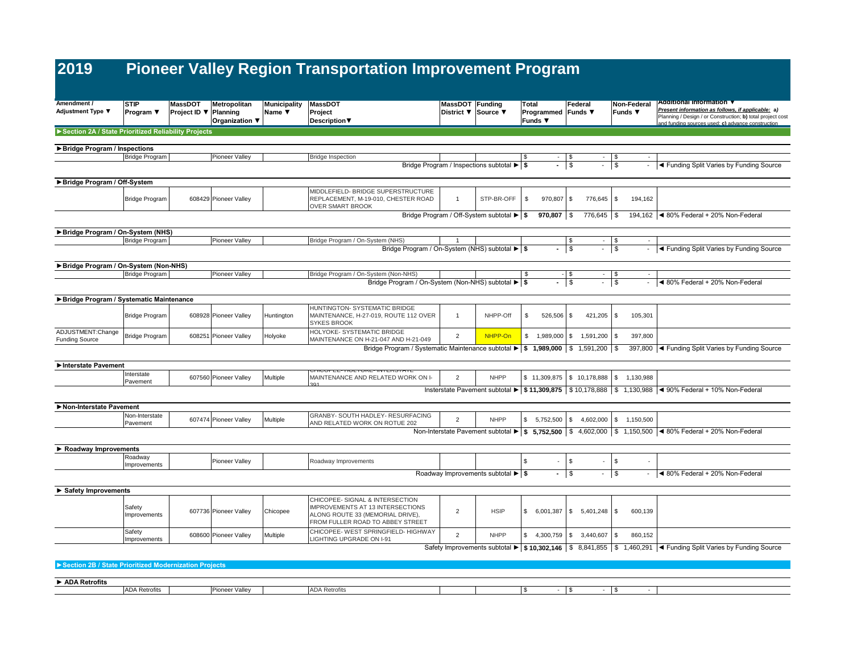| Amendment /<br>Adjustment Type ▼                      | <b>STIP</b><br>Program ▼ | MassDOT<br>Project ID ▼ Planning | Metropolitan          | <b>Municipality</b><br>Name ▼ | <b>MassDOT</b><br>Project                                                                                       | MassDOT Funding<br>District ▼ | Source ▼                                     | Total          |                | Federal<br>Programmed Funds ▼    |               | Non-Federal<br><b>Funds ▼</b> | <b>Additional Information \</b><br>Present information as follows, if applicable: a)<br>Planning / Design / or Construction; b) total project cost |
|-------------------------------------------------------|--------------------------|----------------------------------|-----------------------|-------------------------------|-----------------------------------------------------------------------------------------------------------------|-------------------------------|----------------------------------------------|----------------|----------------|----------------------------------|---------------|-------------------------------|----------------------------------------------------------------------------------------------------------------------------------------------------|
|                                                       |                          |                                  | Organization ▼        |                               | Description                                                                                                     |                               |                                              | <b>Funds ▼</b> |                |                                  |               |                               | and funding sources used: c) advance construction.                                                                                                 |
| Section 2A / State Prioritized Reliability Projects   |                          |                                  |                       |                               |                                                                                                                 |                               |                                              |                |                |                                  |               |                               |                                                                                                                                                    |
|                                                       |                          |                                  |                       |                               |                                                                                                                 |                               |                                              |                |                |                                  |               |                               |                                                                                                                                                    |
| Bridge Program / Inspections                          | <b>Bridge Program</b>    |                                  | <b>Pioneer Valley</b> |                               | <b>Bridge Inspection</b>                                                                                        |                               |                                              | \$             | $\sim$         | \$<br>$\sim$                     | $\vert$ \$    | $\sim$                        |                                                                                                                                                    |
|                                                       |                          |                                  |                       |                               |                                                                                                                 |                               | Bridge Program / Inspections subtotal ▶   \$ |                | ÷.             | $\sqrt{ }$<br>$\blacksquare$     | $\vert$ \$    |                               |                                                                                                                                                    |
|                                                       |                          |                                  |                       |                               |                                                                                                                 |                               |                                              |                |                |                                  |               |                               |                                                                                                                                                    |
| ▶ Bridge Program / Off-System                         |                          |                                  |                       |                               |                                                                                                                 |                               |                                              |                |                |                                  |               |                               |                                                                                                                                                    |
|                                                       | <b>Bridge Program</b>    |                                  | 608429 Pioneer Valley |                               | MIDDLEFIELD- BRIDGE SUPERSTRUCTURE<br>REPLACEMENT, M-19-010, CHESTER ROAD<br><b>OVER SMART BROOK</b>            | $\overline{1}$                | STP-BR-OFF                                   | \$             | 970,807 \$     | 776,645 \$                       |               | 194,162                       |                                                                                                                                                    |
|                                                       |                          |                                  |                       |                               |                                                                                                                 |                               | Bridge Program / Off-System subtotal ▶ S     |                | 970,807 \$     | 776,645 \$                       |               |                               | 194,162 <4 80% Federal + 20% Non-Federal                                                                                                           |
|                                                       |                          |                                  |                       |                               |                                                                                                                 |                               |                                              |                |                |                                  |               |                               |                                                                                                                                                    |
| Bridge Program / On-System (NHS)                      | <b>Bridge Program</b>    |                                  | Pioneer Valley        |                               | Bridge Program / On-System (NHS)                                                                                |                               |                                              |                |                | S                                |               |                               |                                                                                                                                                    |
|                                                       |                          |                                  |                       |                               | Bridge Program / On-System (NHS) subtotal ▶ S                                                                   |                               |                                              |                | $\blacksquare$ | l \$                             | \$            | $\overline{\phantom{a}}$      | ◀ Funding Split Varies by Funding Source                                                                                                           |
|                                                       |                          |                                  |                       |                               |                                                                                                                 |                               |                                              |                |                |                                  |               |                               |                                                                                                                                                    |
| Bridge Program / On-System (Non-NHS)                  |                          |                                  |                       |                               |                                                                                                                 |                               |                                              |                |                |                                  |               |                               |                                                                                                                                                    |
|                                                       | <b>Bridge Program</b>    |                                  | Pioneer Valley        |                               | Bridge Program / On-System (Non-NHS)                                                                            |                               |                                              | \$             |                | l \$<br>$\overline{\phantom{a}}$ | <sup>\$</sup> | $\sim$                        |                                                                                                                                                    |
|                                                       |                          |                                  |                       |                               | Bridge Program / On-System (Non-NHS) subtotal ▶ \$                                                              |                               |                                              |                | $\sim$         | $\sqrt{3}$<br>$\blacksquare$     | <b>\$</b>     | $\overline{\phantom{a}}$      | ◀ 80% Federal + 20% Non-Federal                                                                                                                    |
| Bridge Program / Systematic Maintenance               |                          |                                  |                       |                               |                                                                                                                 |                               |                                              |                |                |                                  |               |                               |                                                                                                                                                    |
|                                                       | <b>Bridge Program</b>    |                                  | 608928 Pioneer Valley | Huntington                    | HUNTINGTON- SYSTEMATIC BRIDGE<br>MAINTENANCE, H-27-019, ROUTE 112 OVER<br><b>SYKES BROOK</b>                    | $\overline{1}$                | NHPP-Off                                     | \$             | 526,506        | l \$<br>421,205                  | \$            | 105,301                       |                                                                                                                                                    |
| ADJUSTMENT:Change<br><b>Funding Source</b>            | Bridge Program           |                                  | 608251 Pioneer Valley | Holyoke                       | HOLYOKE- SYSTEMATIC BRIDGE<br>MAINTENANCE ON H-21-047 AND H-21-049                                              | 2                             | NHPP-On                                      | \$             | 1,989,000      | $\mathbf{s}$<br>1,591,200        | \$            | 397,800                       |                                                                                                                                                    |
|                                                       |                          |                                  |                       |                               | Bridge Program / Systematic Maintenance subtotal $\blacktriangleright$   \$ 1,989,000   \$ 1,591,200   \$       |                               |                                              |                |                |                                  |               |                               | 397,800  ◀ Funding Split Varies by Funding Source                                                                                                  |
|                                                       |                          |                                  |                       |                               |                                                                                                                 |                               |                                              |                |                |                                  |               |                               |                                                                                                                                                    |
| Interstate Pavement                                   |                          |                                  |                       |                               | UMIUUPEE-MULTUKE-IIVI ERSI ATE                                                                                  |                               |                                              |                |                |                                  |               |                               |                                                                                                                                                    |
|                                                       | Interstate<br>Pavement   |                                  | 607560 Pioneer Valley | Multiple                      | MAINTENANCE AND RELATED WORK ON I-                                                                              | $\overline{2}$                | <b>NHPP</b>                                  | \$11,309,875   |                | \$10,178,888                     |               | \$ 1,130,988                  |                                                                                                                                                    |
|                                                       |                          |                                  |                       |                               |                                                                                                                 |                               |                                              |                |                |                                  |               |                               | Insterstate Pavement subtotal ▶   \$11,309,875   \$10,178,888   \$1,130,988   < 90% Federal + 10% Non-Federal                                      |
| Non-Interstate Pavement                               |                          |                                  |                       |                               |                                                                                                                 |                               |                                              |                |                |                                  |               |                               |                                                                                                                                                    |
|                                                       | Non-Interstate           |                                  |                       |                               | GRANBY- SOUTH HADLEY- RESURFACING                                                                               | $\overline{2}$                | <b>NHPP</b>                                  |                |                |                                  |               |                               |                                                                                                                                                    |
|                                                       | Pavement                 |                                  | 607474 Pioneer Valley | Multiple                      | AND RELATED WORK ON ROTUE 202                                                                                   |                               |                                              | \$5,752,500    |                | $\mathbf{s}$<br>4,602,000        |               | \$ 1,150,500                  |                                                                                                                                                    |
|                                                       |                          |                                  |                       |                               |                                                                                                                 |                               |                                              |                |                |                                  |               |                               | Non-Interstate Pavement subtotal ▶   \$ 5,752,500   \$ 4,602,000   \$ 1,150,500   < 80% Federal + 20% Non-Federal                                  |
| ▶ Roadway Improvements                                |                          |                                  |                       |                               |                                                                                                                 |                               |                                              |                |                |                                  |               |                               |                                                                                                                                                    |
|                                                       | Roadway                  |                                  |                       |                               |                                                                                                                 |                               |                                              |                |                |                                  |               |                               |                                                                                                                                                    |
|                                                       | Improvements             |                                  | Pioneer Valley        |                               | Roadway Improvements                                                                                            |                               |                                              | \$             |                | \$                               | \$            |                               |                                                                                                                                                    |
|                                                       |                          |                                  |                       |                               |                                                                                                                 |                               | Roadway Improvements subtotal ▶ \$           |                | $\blacksquare$ | $\sqrt{3}$                       | $\sqrt{3}$    |                               | - < 80% Federal + 20% Non-Federal                                                                                                                  |
|                                                       |                          |                                  |                       |                               |                                                                                                                 |                               |                                              |                |                |                                  |               |                               |                                                                                                                                                    |
| Safety Improvements                                   |                          |                                  |                       |                               | CHICOPEE- SIGNAL & INTERSECTION                                                                                 |                               |                                              |                |                |                                  |               |                               |                                                                                                                                                    |
|                                                       | Safety<br>Improvements   |                                  | 607736 Pioneer Valley | Chicopee                      | <b>IMPROVEMENTS AT 13 INTERSECTIONS</b><br>ALONG ROUTE 33 (MEMORIAL DRIVE),<br>FROM FULLER ROAD TO ABBEY STREET | $\overline{2}$                | <b>HSIP</b>                                  | \$6,001,387    |                | $\mathbf{s}$<br>$5,401,248$ \\$  |               | 600,139                       |                                                                                                                                                    |
|                                                       | Safety<br>Improvements   |                                  | 608600 Pioneer Valley | Multiple                      | CHICOPEE- WEST SPRINGFIELD- HIGHWAY<br>LIGHTING UPGRADE ON I-91                                                 | $\overline{2}$                | <b>NHPP</b>                                  | \$4,300,759    |                | S.<br>3,440,607                  | -S            | 860,152                       |                                                                                                                                                    |
|                                                       |                          |                                  |                       |                               |                                                                                                                 |                               |                                              |                |                |                                  |               |                               | Safety Improvements subtotal ▶ \$ 10,302,146   \$ 8,841,855   \$ 1,460,291   < Funding Split Varies by Funding Source                              |
|                                                       |                          |                                  |                       |                               |                                                                                                                 |                               |                                              |                |                |                                  |               |                               |                                                                                                                                                    |
| Section 2B / State Prioritized Modernization Projects |                          |                                  |                       |                               |                                                                                                                 |                               |                                              |                |                |                                  |               |                               |                                                                                                                                                    |
| ADA Retrofits                                         |                          |                                  |                       |                               |                                                                                                                 |                               |                                              |                |                |                                  |               |                               |                                                                                                                                                    |
|                                                       | <b>ADA Retrofits</b>     |                                  | <b>Pioneer Valley</b> |                               | <b>ADA Retrofits</b>                                                                                            |                               |                                              | $\mathfrak{s}$ | $-1$ s         |                                  | $ \sqrt{3}$   | $\sim$                        |                                                                                                                                                    |
|                                                       |                          |                                  |                       |                               |                                                                                                                 |                               |                                              |                |                |                                  |               |                               |                                                                                                                                                    |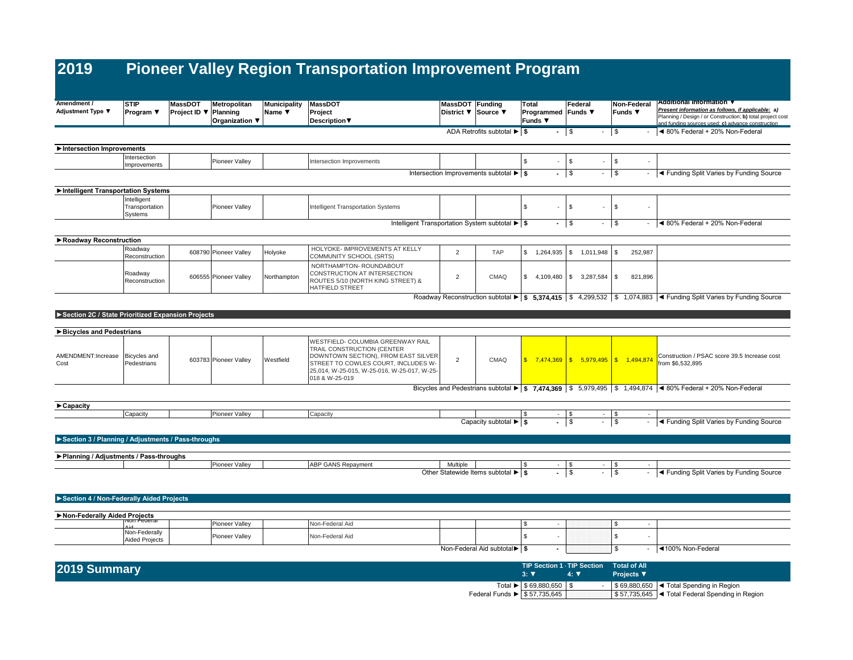| Amendment /<br>Adjustment Type ▼                   | <b>STIP</b><br>Program ▼                 | <b>MassDOT</b><br>Project ID ▼ Planning | Metropolitan<br>Organization ▼ | <b>Municipality</b><br>Name ▼ | <b>MassDOT</b><br>Project<br><b>Description</b> ▼                                                                                                                                                              | MassDOT Funding<br>District ▼ | Source ▼                                                                          | <b>Total</b><br>Programmed Funds ▼<br><b>Funds ▼</b> | Federal                            | Non-Federal<br>Funds $\Psi$         | <b>Additional Information \</b><br>Present information as follows, if applicable: a)<br>Planning / Design / or Construction; b) total project cost<br>and funding sources used: c) advance construction.         |
|----------------------------------------------------|------------------------------------------|-----------------------------------------|--------------------------------|-------------------------------|----------------------------------------------------------------------------------------------------------------------------------------------------------------------------------------------------------------|-------------------------------|-----------------------------------------------------------------------------------|------------------------------------------------------|------------------------------------|-------------------------------------|------------------------------------------------------------------------------------------------------------------------------------------------------------------------------------------------------------------|
|                                                    |                                          |                                         |                                |                               |                                                                                                                                                                                                                |                               | ADA Retrofits subtotal ▶ \$                                                       |                                                      | $-$ \$<br>$\blacksquare$           | $\sqrt{3}$                          | ◀ 80% Federal + 20% Non-Federal                                                                                                                                                                                  |
| Intersection Improvements                          |                                          |                                         |                                |                               |                                                                                                                                                                                                                |                               |                                                                                   |                                                      |                                    |                                     |                                                                                                                                                                                                                  |
|                                                    | Intersection<br>Improvements             |                                         | Pioneer Valley                 |                               | Intersection Improvements                                                                                                                                                                                      |                               |                                                                                   | \$<br>$\sim$                                         | $\mathbf S$                        | \$                                  |                                                                                                                                                                                                                  |
|                                                    |                                          |                                         |                                |                               |                                                                                                                                                                                                                |                               | Intersection Improvements subtotal $\blacktriangleright$ $\blacktriangleright$ \$ |                                                      | $ \sqrt{3}$<br>$\blacksquare$      | $\sqrt{3}$                          | - <a>I<br/> I<br/> <a>I<br/> <a>I<br/> <a>I<br/> <a>I<br/> <a>I<br/> <a>I<br/> <a>I<br/></a> <a>I<br/></a> <a>I<br/></a> <a>I<br/></a> <a>I<br/></a> &lt; &lt; I<br/></a> I</a> &lt; I</a> I</a> I I</a></a></a> |
| Intelligent Transportation Systems                 |                                          |                                         |                                |                               |                                                                                                                                                                                                                |                               |                                                                                   |                                                      |                                    |                                     |                                                                                                                                                                                                                  |
|                                                    | Intelligent<br>Transportation<br>Systems |                                         | Pioneer Valley                 |                               | Intelligent Transportation Systems                                                                                                                                                                             |                               |                                                                                   | $\$$<br>×.                                           | $\sqrt{3}$                         | \$<br>ä,                            |                                                                                                                                                                                                                  |
|                                                    |                                          |                                         |                                |                               | Intelligent Transportation System subtotal > \$                                                                                                                                                                |                               |                                                                                   |                                                      | $-1$ \$<br>$\blacksquare$          | $\sqrt{3}$                          | $-$ 4 80% Federal + 20% Non-Federal                                                                                                                                                                              |
| Roadway Reconstruction                             |                                          |                                         |                                |                               |                                                                                                                                                                                                                |                               |                                                                                   |                                                      |                                    |                                     |                                                                                                                                                                                                                  |
|                                                    | Roadway<br>Reconstruction                |                                         | 608790 Pioneer Valley          | Holyoke                       | HOLYOKE- IMPROVEMENTS AT KELLY<br>COMMUNITY SCHOOL (SRTS)                                                                                                                                                      | $\overline{2}$                | <b>TAP</b>                                                                        | \$1,264,935                                          | l \$<br>1,011,948                  | \$<br>252,987                       |                                                                                                                                                                                                                  |
|                                                    | Roadway<br>Reconstruction                |                                         | 606555 Pioneer Valley          | Northampton                   | NORTHAMPTON- ROUNDABOUT<br>CONSTRUCTION AT INTERSECTION<br>ROUTES 5/10 (NORTH KING STREET) &<br><b>HATFIELD STREET</b>                                                                                         | $\overline{2}$                | CMAQ                                                                              | \$4,109,480                                          | $\sqrt{S}$<br>3,287,584            | <b>S</b><br>821,896                 |                                                                                                                                                                                                                  |
|                                                    |                                          |                                         |                                |                               |                                                                                                                                                                                                                |                               |                                                                                   |                                                      |                                    |                                     | Roadway Reconstruction subtotal $\blacktriangleright$ \$ 5,374,415 \ \$ 4,299,532 \ \$ 1,074,883 \ < Funding Split Varies by Funding Source                                                                      |
|                                                    |                                          |                                         |                                |                               |                                                                                                                                                                                                                |                               |                                                                                   |                                                      |                                    |                                     |                                                                                                                                                                                                                  |
| Section 2C / State Prioritized Expansion Projects  |                                          |                                         |                                |                               |                                                                                                                                                                                                                |                               |                                                                                   |                                                      |                                    |                                     |                                                                                                                                                                                                                  |
| Bicycles and Pedestrians                           |                                          |                                         |                                |                               |                                                                                                                                                                                                                |                               |                                                                                   |                                                      |                                    |                                     |                                                                                                                                                                                                                  |
| AMENDMENT:Increase<br>Cost                         | <b>Bicycles</b> and<br>Pedestrians       |                                         | 603783 Pioneer Valley          | Westfield                     | WESTFIELD- COLUMBIA GREENWAY RAIL<br>TRAIL CONSTRUCTION (CENTER<br>DOWNTOWN SECTION), FROM EAST SILVER<br>STREET TO COWLES COURT, INCLUDES W-<br>25,014, W-25-015, W-25-016, W-25-017, W-25-<br>018 & W-25-019 | $\overline{2}$                | CMAQ                                                                              |                                                      |                                    |                                     | Construction / PSAC score 39.5 Increase cost<br>from \$6,532,895                                                                                                                                                 |
|                                                    |                                          |                                         |                                |                               |                                                                                                                                                                                                                |                               |                                                                                   |                                                      |                                    |                                     | Bicycles and Pedestrians subtotal $\blacktriangleright$ \$ 7,474,369 \ \$ 5,979,495 \ \$ 1,494,874 \ $\blacktriangleleft$ 80% Federal + 20% Non-Federal                                                          |
| ► Capacity                                         |                                          |                                         |                                |                               |                                                                                                                                                                                                                |                               |                                                                                   |                                                      |                                    |                                     |                                                                                                                                                                                                                  |
|                                                    | Capacity                                 |                                         | Pioneer Valley                 |                               | Capacity                                                                                                                                                                                                       |                               | Capacity subtotal $\blacktriangleright$ $\blacktriangleright$ \$                  | $\sqrt{3}$                                           | $ \sqrt{3}$<br>$\sim$<br>$-1$      | $\sqrt{3}$<br>$\sim$<br>$ \sqrt{3}$ | - Funding Split Varies by Funding Source                                                                                                                                                                         |
|                                                    |                                          |                                         |                                |                               |                                                                                                                                                                                                                |                               |                                                                                   |                                                      |                                    |                                     |                                                                                                                                                                                                                  |
| Section 3 / Planning / Adjustments / Pass-throughs |                                          |                                         |                                |                               |                                                                                                                                                                                                                |                               |                                                                                   |                                                      |                                    |                                     |                                                                                                                                                                                                                  |
| ▶ Planning / Adjustments / Pass-throughs           |                                          |                                         |                                |                               |                                                                                                                                                                                                                |                               |                                                                                   |                                                      |                                    |                                     |                                                                                                                                                                                                                  |
|                                                    |                                          |                                         | <b>Pioneer Valley</b>          |                               | ABP GANS Repayment                                                                                                                                                                                             | Multiple                      |                                                                                   | \$                                                   | l \$<br>$\sim$                     | $\sqrt{3}$                          |                                                                                                                                                                                                                  |
|                                                    |                                          |                                         |                                |                               |                                                                                                                                                                                                                |                               | Other Statewide Items subtotal $\blacktriangleright$ \$                           |                                                      | $ \sqrt{s}$<br>$\blacksquare$      | $\vert$ \$                          | ◀ Funding Split Varies by Funding Source                                                                                                                                                                         |
|                                                    |                                          |                                         |                                |                               |                                                                                                                                                                                                                |                               |                                                                                   |                                                      |                                    |                                     |                                                                                                                                                                                                                  |
| Section 4 / Non-Federally Aided Projects           |                                          |                                         |                                |                               |                                                                                                                                                                                                                |                               |                                                                                   |                                                      |                                    |                                     |                                                                                                                                                                                                                  |
| Non-Federally Aided Projects                       |                                          |                                         |                                |                               |                                                                                                                                                                                                                |                               |                                                                                   |                                                      |                                    |                                     |                                                                                                                                                                                                                  |
|                                                    | hi                                       |                                         | Pioneer Valley                 |                               | Non-Federal Aid                                                                                                                                                                                                |                               |                                                                                   | \$<br>$\overline{\phantom{a}}$                       |                                    | \$.<br>$\sim$                       |                                                                                                                                                                                                                  |
|                                                    | Non-Federally<br><b>Aided Projects</b>   |                                         | Pioneer Valley                 |                               | Non-Federal Aid                                                                                                                                                                                                |                               |                                                                                   | \$<br>$\sim$                                         |                                    | \$<br>$\sim$                        |                                                                                                                                                                                                                  |
|                                                    |                                          |                                         |                                |                               |                                                                                                                                                                                                                |                               | Non-Federal Aid subtotal ▶ S                                                      |                                                      |                                    | \$                                  | ◀100% Non-Federal                                                                                                                                                                                                |
|                                                    |                                          |                                         |                                |                               |                                                                                                                                                                                                                |                               |                                                                                   |                                                      | <b>TIP Section 1 · TIP Section</b> | <b>Total of All</b>                 |                                                                                                                                                                                                                  |
| 2019 Summary                                       |                                          |                                         |                                |                               |                                                                                                                                                                                                                |                               |                                                                                   | 3.7                                                  | $\mathbf{A} \cdot \mathbf{V}$      | Projects V                          |                                                                                                                                                                                                                  |

|                              | $\sim$                                           | <b>Projects V</b> |                                                    |
|------------------------------|--------------------------------------------------|-------------------|----------------------------------------------------|
|                              | Total $\blacktriangleright$   \$ 69.880.650   \$ |                   | S 69,880,650  ◀ Total Spending in Region           |
| Federal Funds • \$57,735,645 |                                                  |                   | \$ 57,735,645   ◀ Total Federal Spending in Region |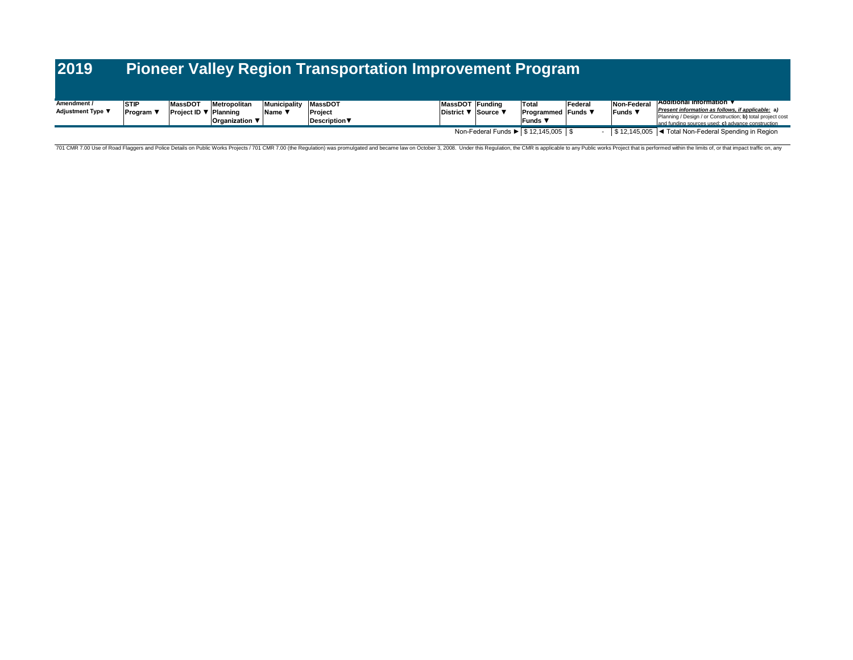| Amendment /<br>Adjustment Type ▼ | <b>STIP</b><br>Program | <b>MassDOT</b><br><b>Project ID ▼ Planning</b> | Metropolitan<br><b>Organization</b> ▼ | <b>Municipality</b><br>Name \ | MassDOT<br>Project<br>Description▼ | MassDOT Funding<br>District ▼ | 7 Source ¶ | Total<br><b>Programmed Funds</b> ▼<br>lFunds ▼ | Federal | Non-Federal<br><b>Funds</b> ▼ | <b>Additional Information <math>\blacktriangledown</math></b><br>Present information as follows, if applicable: a)<br>Planning / Design / or Construction; b) total project cost<br>and funding sources used: c) advance construction |
|----------------------------------|------------------------|------------------------------------------------|---------------------------------------|-------------------------------|------------------------------------|-------------------------------|------------|------------------------------------------------|---------|-------------------------------|---------------------------------------------------------------------------------------------------------------------------------------------------------------------------------------------------------------------------------------|
|                                  |                        |                                                |                                       |                               |                                    |                               |            | Non-Federal Funds ▶ \$ 12,145,005 \$           |         |                               | S 12,145,005  ◀ Total Non-Federal Spending in Region                                                                                                                                                                                  |

701 CMR 7.00 Use of Road Flaggers and Police Details on Public Works Projects / 701 CMR 7.00 (the Regulation) was promulgated and became law on October 3, 2008. Under this Regulation, the CMR is applicable to any Public wo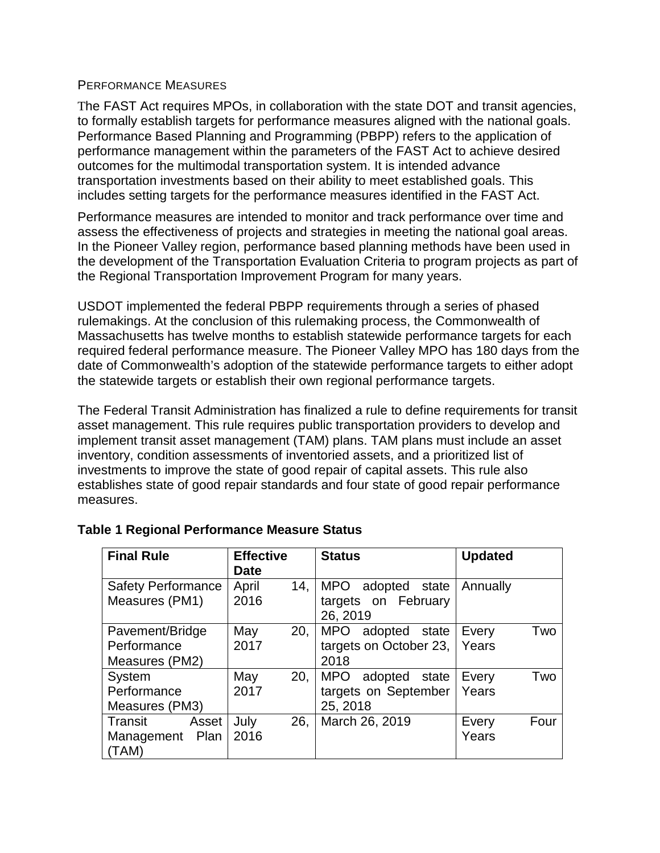### PERFORMANCE MEASURES

The FAST Act requires MPOs, in collaboration with the state DOT and transit agencies, to formally establish targets for performance measures aligned with the national goals. Performance Based Planning and Programming (PBPP) refers to the application of performance management within the parameters of the FAST Act to achieve desired outcomes for the multimodal transportation system. It is intended advance transportation investments based on their ability to meet established goals. This includes setting targets for the performance measures identified in the FAST Act.

Performance measures are intended to monitor and track performance over time and assess the effectiveness of projects and strategies in meeting the national goal areas. In the Pioneer Valley region, performance based planning methods have been used in the development of the Transportation Evaluation Criteria to program projects as part of the Regional Transportation Improvement Program for many years.

USDOT implemented the federal PBPP requirements through a series of phased rulemakings. At the conclusion of this rulemaking process, the Commonwealth of Massachusetts has twelve months to establish statewide performance targets for each required federal performance measure. The Pioneer Valley MPO has 180 days from the date of Commonwealth's adoption of the statewide performance targets to either adopt the statewide targets or establish their own regional performance targets.

The Federal Transit Administration has finalized a rule to define requirements for transit asset management. This rule requires public transportation providers to develop and implement transit asset management (TAM) plans. TAM plans must include an asset inventory, condition assessments of inventoried assets, and a prioritized list of investments to improve the state of good repair of capital assets. This rule also establishes state of good repair standards and four state of good repair performance measures.

| <b>Final Rule</b>         | <b>Effective</b> | <b>Status</b>               | <b>Updated</b> |
|---------------------------|------------------|-----------------------------|----------------|
|                           | <b>Date</b>      |                             |                |
| <b>Safety Performance</b> | April<br>14.     | MPO<br>adopted state        | Annually       |
| Measures (PM1)            | 2016             | targets on February         |                |
|                           |                  | 26, 2019                    |                |
| Pavement/Bridge           | May<br>20,       | <b>MPO</b><br>adopted state | Two<br>Every   |
| Performance               | 2017             | targets on October 23,      | Years          |
| Measures (PM2)            |                  | 2018                        |                |
| System                    | 20,<br>May       | <b>MPO</b><br>adopted state | Two<br>Every   |
| Performance               | 2017             | targets on September        | Years          |
| Measures (PM3)            |                  | 25, 2018                    |                |
| Transit<br>Asset          | 26,<br>July      | March 26, 2019              | Four<br>Every  |
| Management Plan           | 2016             |                             | Years          |
| (TAM)                     |                  |                             |                |

### **Table 1 Regional Performance Measure Status**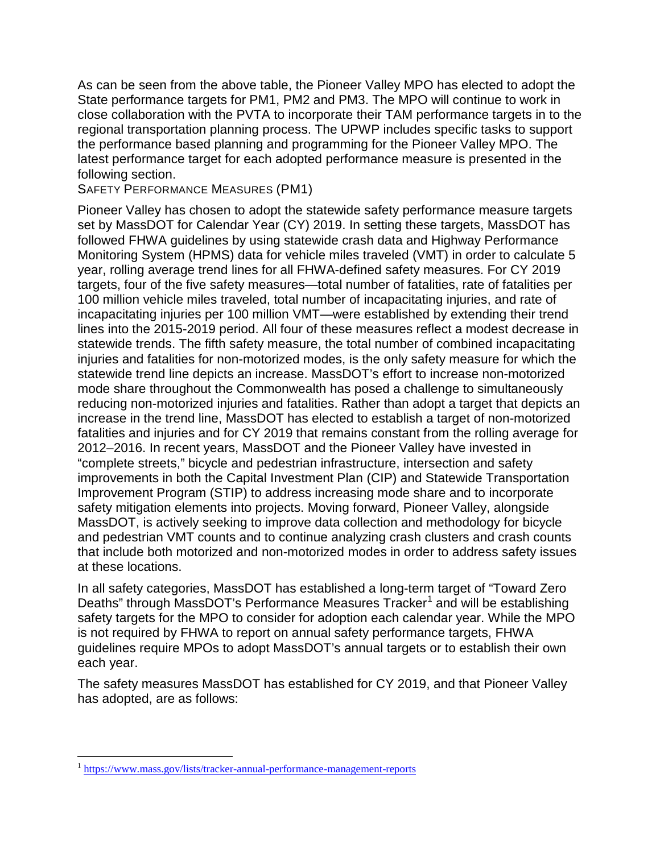As can be seen from the above table, the Pioneer Valley MPO has elected to adopt the State performance targets for PM1, PM2 and PM3. The MPO will continue to work in close collaboration with the PVTA to incorporate their TAM performance targets in to the regional transportation planning process. The UPWP includes specific tasks to support the performance based planning and programming for the Pioneer Valley MPO. The latest performance target for each adopted performance measure is presented in the following section.

SAFETY PERFORMANCE MEASURES (PM1)

Pioneer Valley has chosen to adopt the statewide safety performance measure targets set by MassDOT for Calendar Year (CY) 2019. In setting these targets, MassDOT has followed FHWA guidelines by using statewide crash data and Highway Performance Monitoring System (HPMS) data for vehicle miles traveled (VMT) in order to calculate 5 year, rolling average trend lines for all FHWA-defined safety measures. For CY 2019 targets, four of the five safety measures—total number of fatalities, rate of fatalities per 100 million vehicle miles traveled, total number of incapacitating injuries, and rate of incapacitating injuries per 100 million VMT—were established by extending their trend lines into the 2015-2019 period. All four of these measures reflect a modest decrease in statewide trends. The fifth safety measure, the total number of combined incapacitating injuries and fatalities for non-motorized modes, is the only safety measure for which the statewide trend line depicts an increase. MassDOT's effort to increase non-motorized mode share throughout the Commonwealth has posed a challenge to simultaneously reducing non-motorized injuries and fatalities. Rather than adopt a target that depicts an increase in the trend line, MassDOT has elected to establish a target of non-motorized fatalities and injuries and for CY 2019 that remains constant from the rolling average for 2012–2016. In recent years, MassDOT and the Pioneer Valley have invested in "complete streets," bicycle and pedestrian infrastructure, intersection and safety improvements in both the Capital Investment Plan (CIP) and Statewide Transportation Improvement Program (STIP) to address increasing mode share and to incorporate safety mitigation elements into projects. Moving forward, Pioneer Valley, alongside MassDOT, is actively seeking to improve data collection and methodology for bicycle and pedestrian VMT counts and to continue analyzing crash clusters and crash counts that include both motorized and non-motorized modes in order to address safety issues at these locations.

In all safety categories, MassDOT has established a long-term target of "Toward Zero Deaths" through MassDOT's Performance Measures Tracker<sup>[1](#page-6-0)</sup> and will be establishing safety targets for the MPO to consider for adoption each calendar year. While the MPO is not required by FHWA to report on annual safety performance targets, FHWA guidelines require MPOs to adopt MassDOT's annual targets or to establish their own each year.

The safety measures MassDOT has established for CY 2019, and that Pioneer Valley has adopted, are as follows:

 $\overline{a}$ 

<span id="page-6-0"></span><sup>1</sup> <https://www.mass.gov/lists/tracker-annual-performance-management-reports>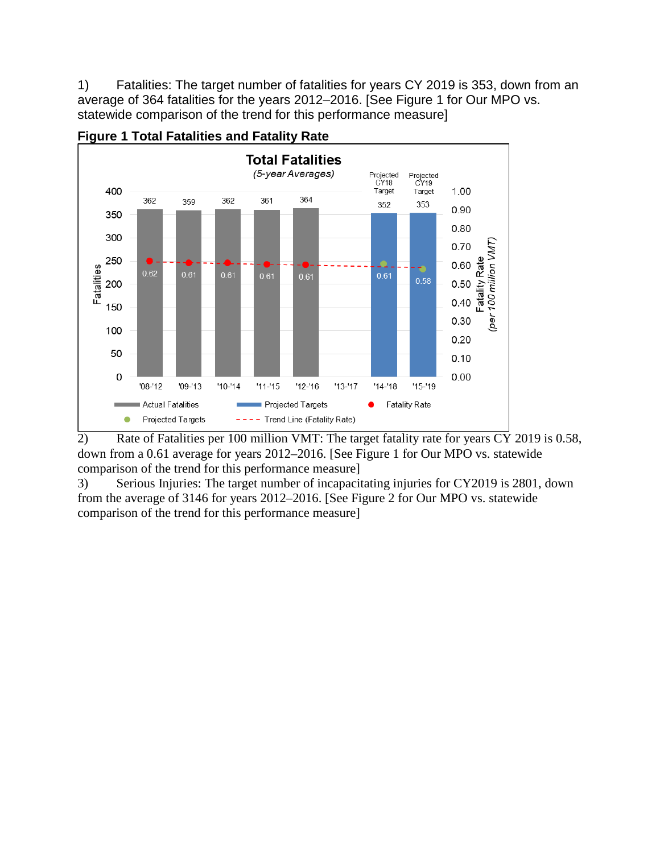1) Fatalities: The target number of fatalities for years CY 2019 is 353, down from an average of 364 fatalities for the years 2012–2016. [See Figure 1 for Our MPO vs. statewide comparison of the trend for this performance measure]





2) Rate of Fatalities per 100 million VMT: The target fatality rate for years CY 2019 is 0.58, down from a 0.61 average for years 2012–2016. [See Figure 1 for Our MPO vs. statewide comparison of the trend for this performance measure]

3) Serious Injuries: The target number of incapacitating injuries for CY2019 is 2801, down from the average of 3146 for years 2012–2016. [See Figure 2 for Our MPO vs. statewide comparison of the trend for this performance measure]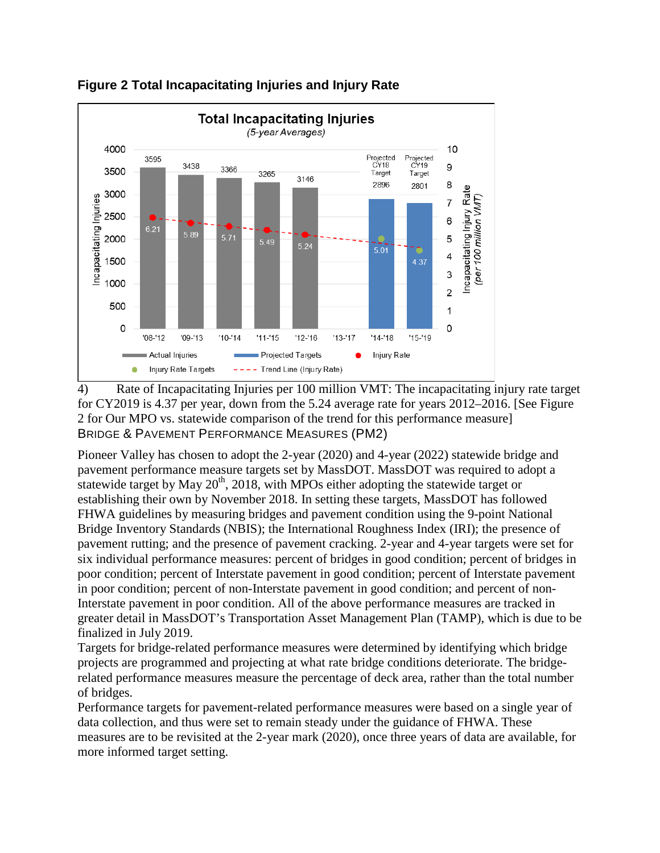

## **Figure 2 Total Incapacitating Injuries and Injury Rate**

4) Rate of Incapacitating Injuries per 100 million VMT: The incapacitating injury rate target for CY2019 is 4.37 per year, down from the 5.24 average rate for years 2012–2016. [See Figure 2 for Our MPO vs. statewide comparison of the trend for this performance measure] BRIDGE & PAVEMENT PERFORMANCE MEASURES (PM2)

Pioneer Valley has chosen to adopt the 2-year (2020) and 4-year (2022) statewide bridge and pavement performance measure targets set by MassDOT. MassDOT was required to adopt a statewide target by May  $20^{th}$ ,  $2018$ , with MPOs either adopting the statewide target or establishing their own by November 2018. In setting these targets, MassDOT has followed FHWA guidelines by measuring bridges and pavement condition using the 9-point National Bridge Inventory Standards (NBIS); the International Roughness Index (IRI); the presence of pavement rutting; and the presence of pavement cracking. 2-year and 4-year targets were set for six individual performance measures: percent of bridges in good condition; percent of bridges in poor condition; percent of Interstate pavement in good condition; percent of Interstate pavement in poor condition; percent of non-Interstate pavement in good condition; and percent of non-Interstate pavement in poor condition. All of the above performance measures are tracked in greater detail in MassDOT's Transportation Asset Management Plan (TAMP), which is due to be finalized in July 2019.

Targets for bridge-related performance measures were determined by identifying which bridge projects are programmed and projecting at what rate bridge conditions deteriorate. The bridgerelated performance measures measure the percentage of deck area, rather than the total number of bridges.

Performance targets for pavement-related performance measures were based on a single year of data collection, and thus were set to remain steady under the guidance of FHWA. These measures are to be revisited at the 2-year mark (2020), once three years of data are available, for more informed target setting.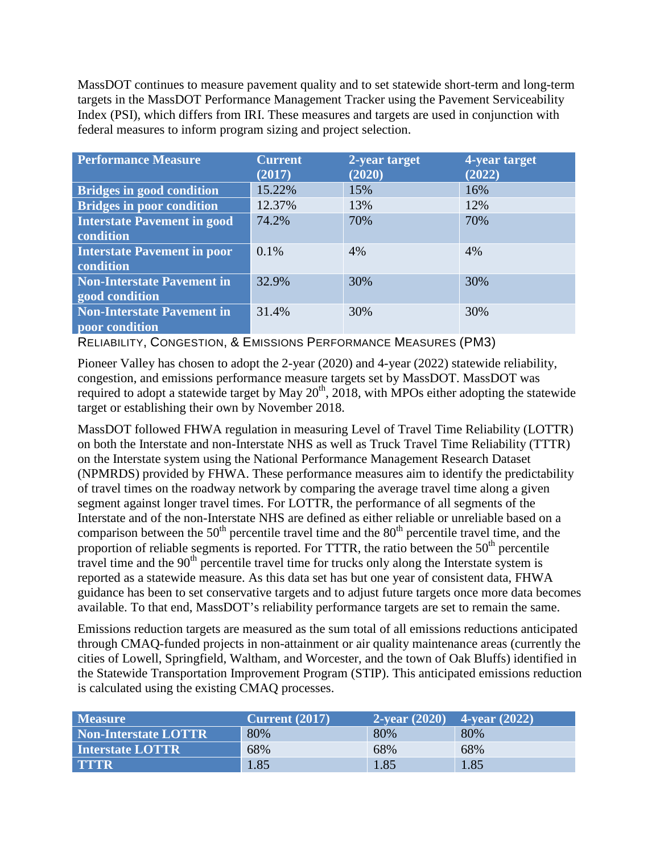MassDOT continues to measure pavement quality and to set statewide short-term and long-term targets in the MassDOT Performance Management Tracker using the Pavement Serviceability Index (PSI), which differs from IRI. These measures and targets are used in conjunction with federal measures to inform program sizing and project selection.

| <b>Performance Measure</b>                          | <b>Current</b><br>(2017) | 2-year target<br>(2020) | 4-year target<br>(2022) |
|-----------------------------------------------------|--------------------------|-------------------------|-------------------------|
| <b>Bridges in good condition</b>                    | 15.22%                   | 15%                     | 16%                     |
| <b>Bridges in poor condition</b>                    | 12.37%                   | 13%                     | 12%                     |
| <b>Interstate Pavement in good</b><br>condition     | 74.2%                    | 70%                     | 70%                     |
| <b>Interstate Pavement in poor</b><br>condition     | 0.1%                     | 4%                      | 4%                      |
| <b>Non-Interstate Pavement in</b><br>good condition | 32.9%                    | 30%                     | 30%                     |
| <b>Non-Interstate Pavement in</b><br>poor condition | 31.4%                    | 30%                     | 30%                     |

RELIABILITY, CONGESTION, & EMISSIONS PERFORMANCE MEASURES (PM3)

Pioneer Valley has chosen to adopt the 2-year (2020) and 4-year (2022) statewide reliability, congestion, and emissions performance measure targets set by MassDOT. MassDOT was required to adopt a statewide target by May  $20<sup>th</sup>$ , 2018, with MPOs either adopting the statewide target or establishing their own by November 2018.

MassDOT followed FHWA regulation in measuring Level of Travel Time Reliability (LOTTR) on both the Interstate and non-Interstate NHS as well as Truck Travel Time Reliability (TTTR) on the Interstate system using the National Performance Management Research Dataset (NPMRDS) provided by FHWA. These performance measures aim to identify the predictability of travel times on the roadway network by comparing the average travel time along a given segment against longer travel times. For LOTTR, the performance of all segments of the Interstate and of the non-Interstate NHS are defined as either reliable or unreliable based on a comparison between the  $50<sup>th</sup>$  percentile travel time and the  $80<sup>th</sup>$  percentile travel time, and the proportion of reliable segments is reported. For TTTR, the ratio between the  $50<sup>th</sup>$  percentile travel time and the  $90<sup>th</sup>$  percentile travel time for trucks only along the Interstate system is reported as a statewide measure. As this data set has but one year of consistent data, FHWA guidance has been to set conservative targets and to adjust future targets once more data becomes available. To that end, MassDOT's reliability performance targets are set to remain the same.

Emissions reduction targets are measured as the sum total of all emissions reductions anticipated through CMAQ-funded projects in non-attainment or air quality maintenance areas (currently the cities of Lowell, Springfield, Waltham, and Worcester, and the town of Oak Bluffs) identified in the Statewide Transportation Improvement Program (STIP). This anticipated emissions reduction is calculated using the existing CMAQ processes.

| <b>Measure</b>              | Current $(2017)$ | $2$ -year (2020) 4-year (2022) |      |
|-----------------------------|------------------|--------------------------------|------|
| <b>Non-Interstate LOTTR</b> | 80%              | 80%                            | 80%  |
| Interstate LOTTR            | 68%              | 68%                            | 68%  |
| <b>TTTR</b>                 | 1.85             | 1.85                           | 1.85 |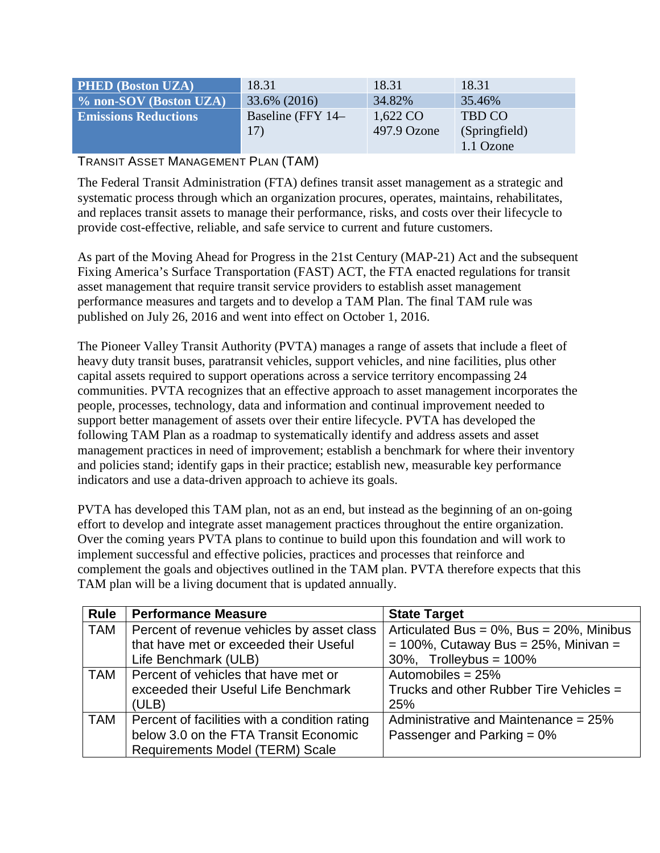| <b>PHED (Boston UZA)</b>    | 18.31             | 18.31       | 18.31         |
|-----------------------------|-------------------|-------------|---------------|
| % non-SOV (Boston UZA)      | 33.6% (2016)      | 34.82%      | 35.46%        |
| <b>Emissions Reductions</b> | Baseline (FFY 14– | 1,622 CO    | TBD CO        |
|                             | 17)               | 497.9 Ozone | (Springfield) |
|                             |                   |             | 1.1 Ozone     |

TRANSIT ASSET MANAGEMENT PLAN (TAM)

The Federal Transit Administration (FTA) defines transit asset management as a strategic and systematic process through which an organization procures, operates, maintains, rehabilitates, and replaces transit assets to manage their performance, risks, and costs over their lifecycle to provide cost-effective, reliable, and safe service to current and future customers.

As part of the Moving Ahead for Progress in the 21st Century (MAP-21) Act and the subsequent Fixing America's Surface Transportation (FAST) ACT, the FTA enacted regulations for transit asset management that require transit service providers to establish asset management performance measures and targets and to develop a TAM Plan. The final TAM rule was published on July 26, 2016 and went into effect on October 1, 2016.

The Pioneer Valley Transit Authority (PVTA) manages a range of assets that include a fleet of heavy duty transit buses, paratransit vehicles, support vehicles, and nine facilities, plus other capital assets required to support operations across a service territory encompassing 24 communities. PVTA recognizes that an effective approach to asset management incorporates the people, processes, technology, data and information and continual improvement needed to support better management of assets over their entire lifecycle. PVTA has developed the following TAM Plan as a roadmap to systematically identify and address assets and asset management practices in need of improvement; establish a benchmark for where their inventory and policies stand; identify gaps in their practice; establish new, measurable key performance indicators and use a data-driven approach to achieve its goals.

PVTA has developed this TAM plan, not as an end, but instead as the beginning of an on-going effort to develop and integrate asset management practices throughout the entire organization. Over the coming years PVTA plans to continue to build upon this foundation and will work to implement successful and effective policies, practices and processes that reinforce and complement the goals and objectives outlined in the TAM plan. PVTA therefore expects that this TAM plan will be a living document that is updated annually.

| <b>Rule</b> | <b>Performance Measure</b>                    | <b>State Target</b>                              |
|-------------|-----------------------------------------------|--------------------------------------------------|
| <b>TAM</b>  | Percent of revenue vehicles by asset class    | Articulated Bus = $0\%$ , Bus = $20\%$ , Minibus |
|             | that have met or exceeded their Useful        | $= 100\%$ , Cutaway Bus = 25%, Minivan =         |
|             | Life Benchmark (ULB)                          | 30%, Trolleybus = $100\%$                        |
| <b>TAM</b>  | Percent of vehicles that have met or          | Automobiles = $25%$                              |
|             | exceeded their Useful Life Benchmark          | Trucks and other Rubber Tire Vehicles =          |
|             | (ULB)                                         | 25%                                              |
| <b>TAM</b>  | Percent of facilities with a condition rating | Administrative and Maintenance = 25%             |
|             | below 3.0 on the FTA Transit Economic         | Passenger and Parking $= 0\%$                    |
|             | Requirements Model (TERM) Scale               |                                                  |